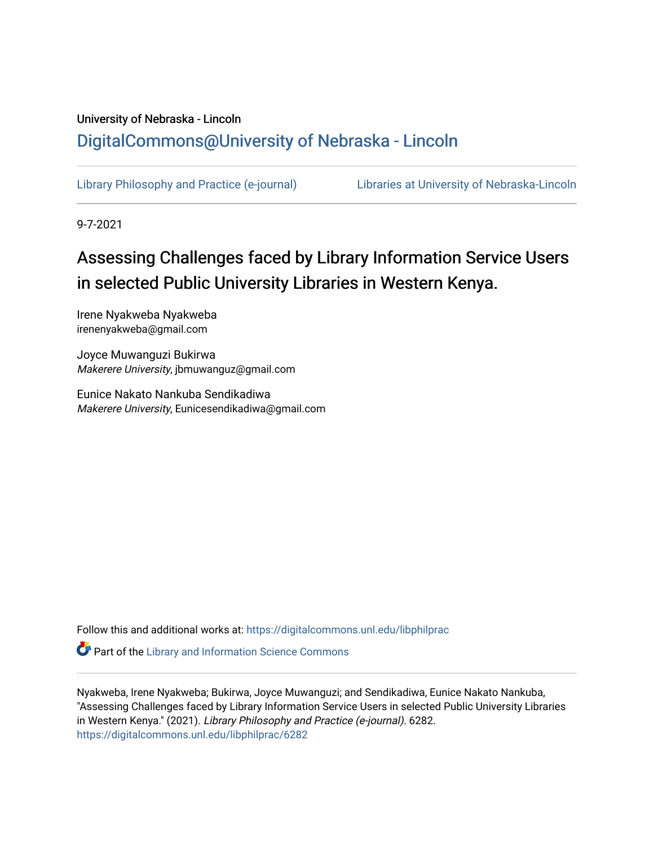# University of Nebraska - Lincoln [DigitalCommons@University of Nebraska - Lincoln](https://digitalcommons.unl.edu/)

[Library Philosophy and Practice \(e-journal\)](https://digitalcommons.unl.edu/libphilprac) [Libraries at University of Nebraska-Lincoln](https://digitalcommons.unl.edu/libraries) 

9-7-2021

# Assessing Challenges faced by Library Information Service Users in selected Public University Libraries in Western Kenya.

Irene Nyakweba Nyakweba irenenyakweba@gmail.com

Joyce Muwanguzi Bukirwa Makerere University, jbmuwanguz@gmail.com

Eunice Nakato Nankuba Sendikadiwa Makerere University, Eunicesendikadiwa@gmail.com

Follow this and additional works at: [https://digitalcommons.unl.edu/libphilprac](https://digitalcommons.unl.edu/libphilprac?utm_source=digitalcommons.unl.edu%2Flibphilprac%2F6282&utm_medium=PDF&utm_campaign=PDFCoverPages) 

**Part of the Library and Information Science Commons** 

Nyakweba, Irene Nyakweba; Bukirwa, Joyce Muwanguzi; and Sendikadiwa, Eunice Nakato Nankuba, "Assessing Challenges faced by Library Information Service Users in selected Public University Libraries in Western Kenya." (2021). Library Philosophy and Practice (e-journal). 6282. [https://digitalcommons.unl.edu/libphilprac/6282](https://digitalcommons.unl.edu/libphilprac/6282?utm_source=digitalcommons.unl.edu%2Flibphilprac%2F6282&utm_medium=PDF&utm_campaign=PDFCoverPages)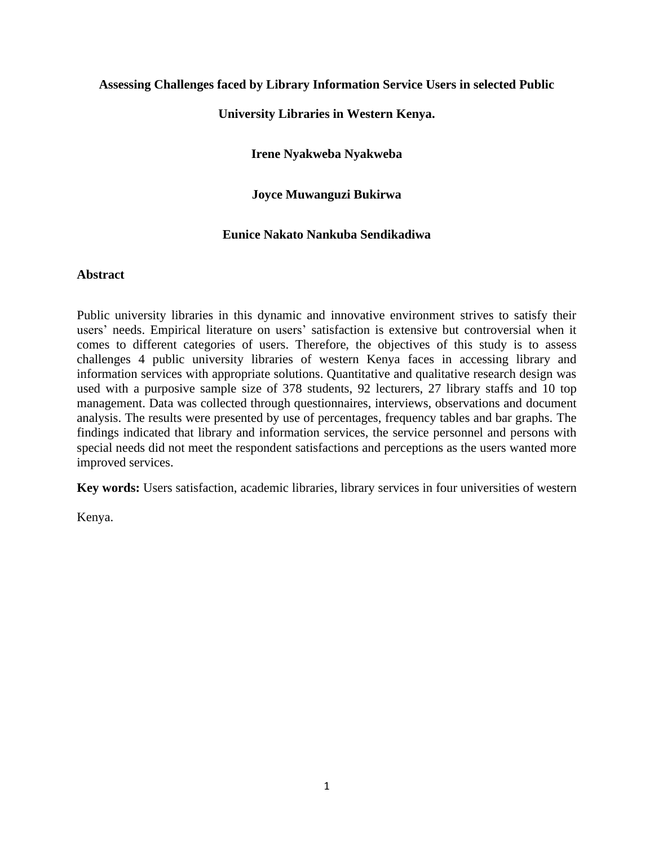# **Assessing Challenges faced by Library Information Service Users in selected Public**

# **University Libraries in Western Kenya.**

# **Irene Nyakweba Nyakweba**

# **Joyce Muwanguzi Bukirwa**

## **Eunice Nakato Nankuba Sendikadiwa**

## **Abstract**

Public university libraries in this dynamic and innovative environment strives to satisfy their users' needs. Empirical literature on users' satisfaction is extensive but controversial when it comes to different categories of users. Therefore, the objectives of this study is to assess challenges 4 public university libraries of western Kenya faces in accessing library and information services with appropriate solutions. Quantitative and qualitative research design was used with a purposive sample size of 378 students, 92 lecturers, 27 library staffs and 10 top management. Data was collected through questionnaires, interviews, observations and document analysis. The results were presented by use of percentages, frequency tables and bar graphs. The findings indicated that library and information services, the service personnel and persons with special needs did not meet the respondent satisfactions and perceptions as the users wanted more improved services.

**Key words:** Users satisfaction, academic libraries, library services in four universities of western

Kenya.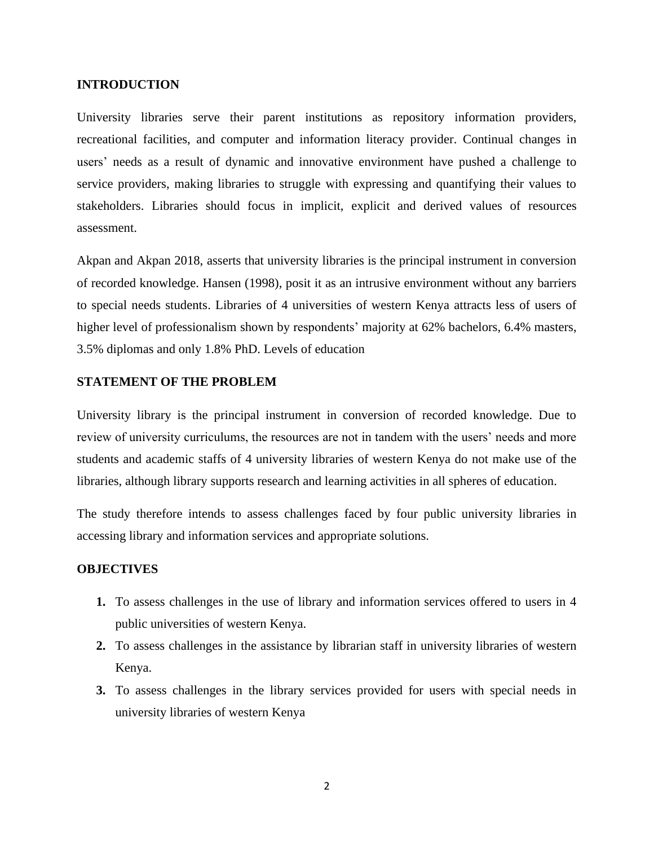#### **INTRODUCTION**

University libraries serve their parent institutions as repository information providers, recreational facilities, and computer and information literacy provider. Continual changes in users' needs as a result of dynamic and innovative environment have pushed a challenge to service providers, making libraries to struggle with expressing and quantifying their values to stakeholders. Libraries should focus in implicit, explicit and derived values of resources assessment.

Akpan and Akpan 2018, asserts that university libraries is the principal instrument in conversion of recorded knowledge. Hansen (1998), posit it as an intrusive environment without any barriers to special needs students. Libraries of 4 universities of western Kenya attracts less of users of higher level of professionalism shown by respondents' majority at 62% bachelors, 6.4% masters, 3.5% diplomas and only 1.8% PhD. Levels of education

#### **STATEMENT OF THE PROBLEM**

University library is the principal instrument in conversion of recorded knowledge. Due to review of university curriculums, the resources are not in tandem with the users' needs and more students and academic staffs of 4 university libraries of western Kenya do not make use of the libraries, although library supports research and learning activities in all spheres of education.

The study therefore intends to assess challenges faced by four public university libraries in accessing library and information services and appropriate solutions.

#### **OBJECTIVES**

- **1.** To assess challenges in the use of library and information services offered to users in 4 public universities of western Kenya.
- **2.** To assess challenges in the assistance by librarian staff in university libraries of western Kenya.
- **3.** To assess challenges in the library services provided for users with special needs in university libraries of western Kenya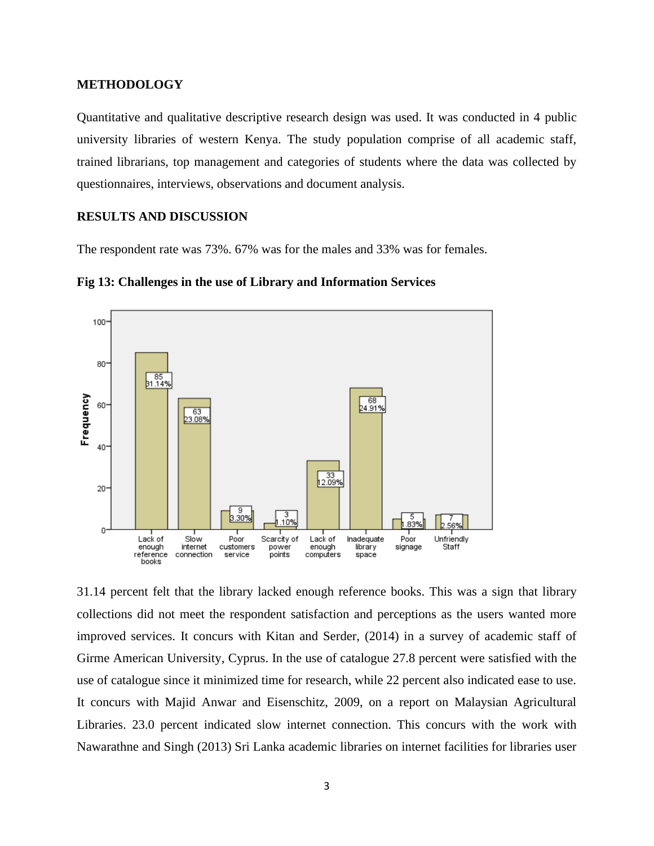#### **METHODOLOGY**

Quantitative and qualitative descriptive research design was used. It was conducted in 4 public university libraries of western Kenya. The study population comprise of all academic staff, trained librarians, top management and categories of students where the data was collected by questionnaires, interviews, observations and document analysis.

#### **RESULTS AND DISCUSSION**

The respondent rate was 73%. 67% was for the males and 33% was for females.





31.14 percent felt that the library lacked enough reference books. This was a sign that library collections did not meet the respondent satisfaction and perceptions as the users wanted more improved services. It concurs with Kitan and Serder, (2014) in a survey of academic staff of Girme American University, Cyprus. In the use of catalogue 27.8 percent were satisfied with the use of catalogue since it minimized time for research, while 22 percent also indicated ease to use. It concurs with Majid Anwar and Eisenschitz, 2009, on a report on Malaysian Agricultural Libraries. 23.0 percent indicated slow internet connection. This concurs with the work with Nawarathne and Singh (2013) Sri Lanka academic libraries on internet facilities for libraries user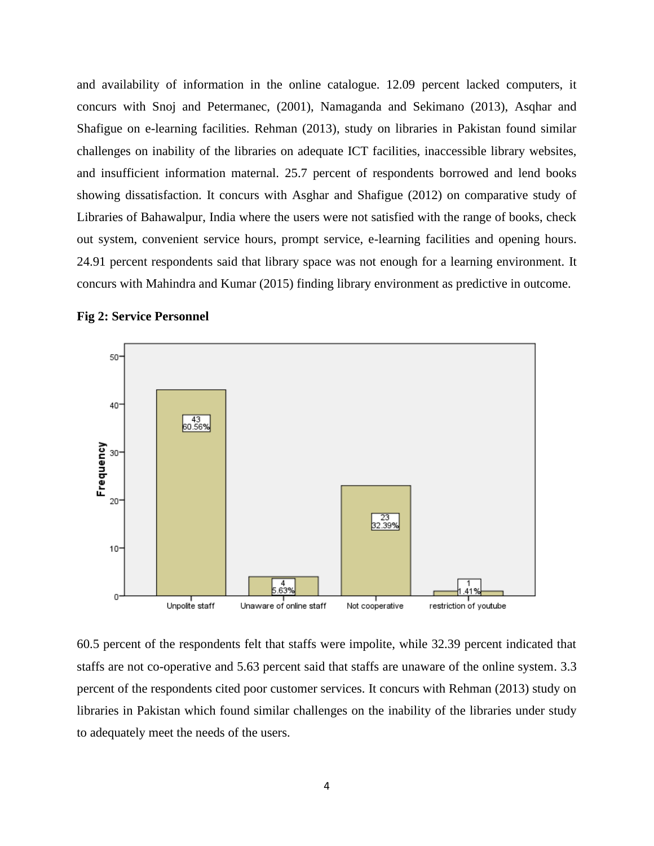and availability of information in the online catalogue. 12.09 percent lacked computers, it concurs with Snoj and Petermanec, (2001), Namaganda and Sekimano (2013), Asqhar and Shafigue on e-learning facilities. Rehman (2013), study on libraries in Pakistan found similar challenges on inability of the libraries on adequate ICT facilities, inaccessible library websites, and insufficient information maternal. 25.7 percent of respondents borrowed and lend books showing dissatisfaction. It concurs with Asghar and Shafigue (2012) on comparative study of Libraries of Bahawalpur, India where the users were not satisfied with the range of books, check out system, convenient service hours, prompt service, e-learning facilities and opening hours. 24.91 percent respondents said that library space was not enough for a learning environment. It concurs with Mahindra and Kumar (2015) finding library environment as predictive in outcome.



#### **Fig 2: Service Personnel**

60.5 percent of the respondents felt that staffs were impolite, while 32.39 percent indicated that staffs are not co-operative and 5.63 percent said that staffs are unaware of the online system. 3.3 percent of the respondents cited poor customer services. It concurs with Rehman (2013) study on libraries in Pakistan which found similar challenges on the inability of the libraries under study to adequately meet the needs of the users.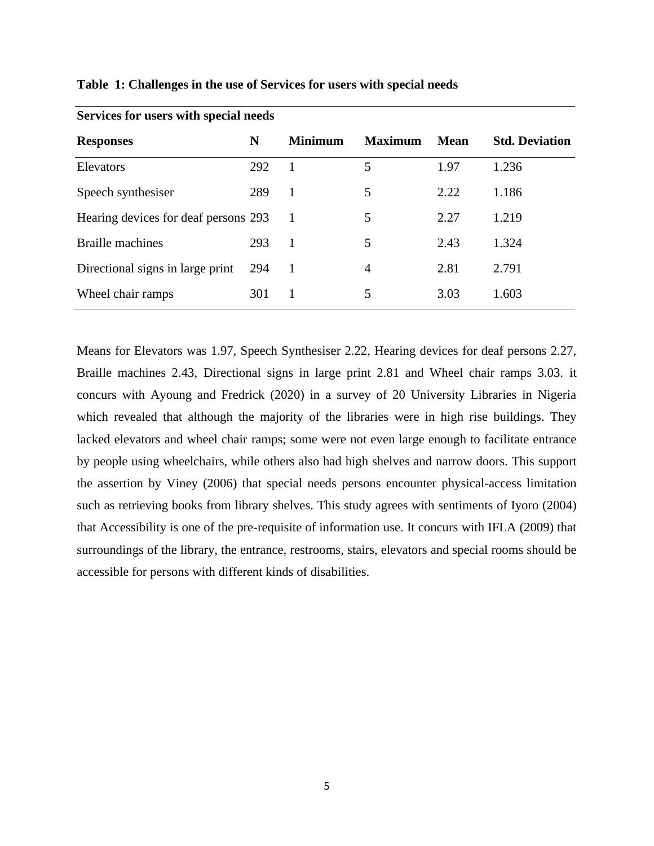| <b>Responses</b>                     | N   | <b>Minimum</b> | <b>Maximum</b> | <b>Mean</b> | <b>Std. Deviation</b> |
|--------------------------------------|-----|----------------|----------------|-------------|-----------------------|
| Elevators                            | 292 |                | 5              | 1.97        | 1.236                 |
| Speech synthesiser                   | 289 | 1              | 5              | 2.22        | 1.186                 |
| Hearing devices for deaf persons 293 |     | -1             | 5              | 2.27        | 1.219                 |
| <b>Braille</b> machines              | 293 | 1              | 5              | 2.43        | 1.324                 |
| Directional signs in large print     | 294 | -1             | 4              | 2.81        | 2.791                 |
| Wheel chair ramps                    | 301 | <sup>1</sup>   | 5              | 3.03        | 1.603                 |
|                                      |     |                |                |             |                       |

#### **Table 1: Challenges in the use of Services for users with special needs**

**Services for users with special needs**

Means for Elevators was 1.97, Speech Synthesiser 2.22, Hearing devices for deaf persons 2.27, Braille machines 2.43, Directional signs in large print 2.81 and Wheel chair ramps 3.03. it concurs with Ayoung and Fredrick (2020) in a survey of 20 University Libraries in Nigeria which revealed that although the majority of the libraries were in high rise buildings. They lacked elevators and wheel chair ramps; some were not even large enough to facilitate entrance by people using wheelchairs, while others also had high shelves and narrow doors. This support the assertion by Viney (2006) that special needs persons encounter physical-access limitation such as retrieving books from library shelves. This study agrees with sentiments of Iyoro (2004) that Accessibility is one of the pre-requisite of information use. It concurs with IFLA (2009) that surroundings of the library, the entrance, restrooms, stairs, elevators and special rooms should be accessible for persons with different kinds of disabilities.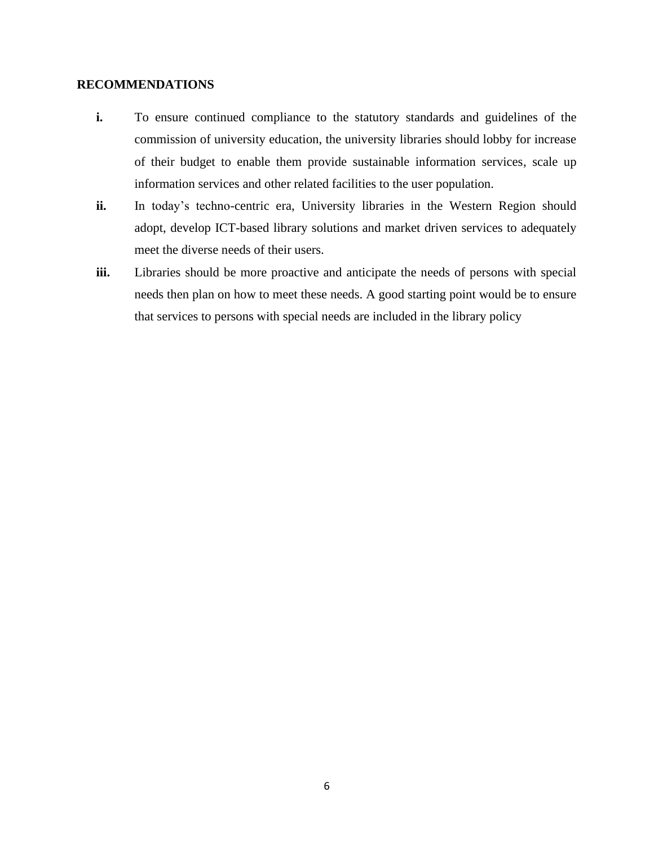#### **RECOMMENDATIONS**

- **i.** To ensure continued compliance to the statutory standards and guidelines of the commission of university education, the university libraries should lobby for increase of their budget to enable them provide sustainable information services, scale up information services and other related facilities to the user population.
- ii. In today's techno-centric era, University libraries in the Western Region should adopt, develop ICT-based library solutions and market driven services to adequately meet the diverse needs of their users.
- **iii.** Libraries should be more proactive and anticipate the needs of persons with special needs then plan on how to meet these needs. A good starting point would be to ensure that services to persons with special needs are included in the library policy